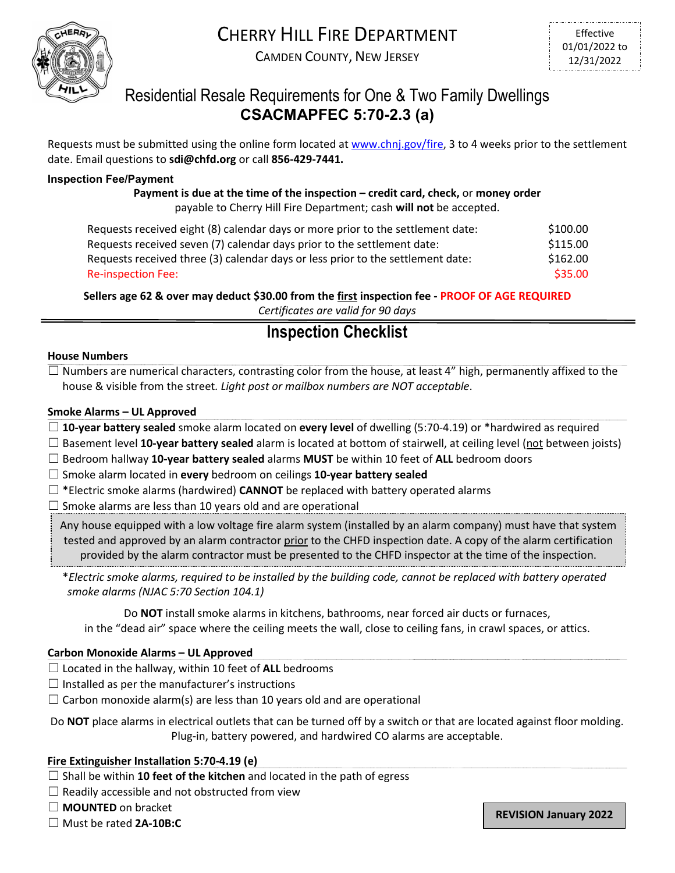

# CHERRY HILL FIRE DEPARTMENT

CAMDEN COUNTY, NEW JERSEY

### Residential Resale Requirements for One & Two Family Dwellings **CSACMAPFEC 5:70-2.3 (a)**

Requests must be submitted using the online form located at [www.chnj.gov/fire,](http://www.chnj.gov/fire) 3 to 4 weeks prior to the settlement date. Email questions to **sdi@chfd.org** or call **856-429-7441.**

#### **Inspection Fee/Payment**

**Payment is due at the time of the inspection – credit card, check,** or **money order** payable to Cherry Hill Fire Department; cash **will not** be accepted.

| Requests received eight (8) calendar days or more prior to the settlement date: | \$100.00 |
|---------------------------------------------------------------------------------|----------|
| Requests received seven (7) calendar days prior to the settlement date:         | \$115.00 |
| Requests received three (3) calendar days or less prior to the settlement date: | \$162.00 |
| Re-inspection Fee:                                                              | \$35.00  |

**Sellers age 62 & over may deduct \$30.00 from the first inspection fee - PROOF OF AGE REQUIRED** *Certificates are valid for 90 days*

## **Inspection Checklist**

#### **House Numbers**

 $\Box$  Numbers are numerical characters, contrasting color from the house, at least 4" high, permanently affixed to the house & visible from the street*. Light post or mailbox numbers are NOT acceptable*.

#### **Smoke Alarms – UL Approved**

☐ **10-year battery sealed** smoke alarm located on **every level** of dwelling (5:70-4.19) or \*hardwired as required

- ☐ Basement level **10-year battery sealed** alarm is located at bottom of stairwell, at ceiling level (not between joists)
- ☐ Bedroom hallway **10-year battery sealed** alarms **MUST** be within 10 feet of **ALL** bedroom doors

☐ Smoke alarm located in **every** bedroom on ceilings **10-year battery sealed**

☐ \*Electric smoke alarms (hardwired) **CANNOT** be replaced with battery operated alarms

 $\Box$  Smoke alarms are less than 10 years old and are operational

Any house equipped with a low voltage fire alarm system (installed by an alarm company) must have that system tested and approved by an alarm contractor prior to the CHFD inspection date. A copy of the alarm certification provided by the alarm contractor must be presented to the CHFD inspector at the time of the inspection.

\**Electric smoke alarms, required to be installed by the building code, cannot be replaced with battery operated smoke alarms (NJAC 5:70 Section 104.1)*

Do **NOT** install smoke alarms in kitchens, bathrooms, near forced air ducts or furnaces, in the "dead air" space where the ceiling meets the wall, close to ceiling fans, in crawl spaces, or attics.

#### **Carbon Monoxide Alarms – UL Approved**

- ☐ Located in the hallway, within 10 feet of **ALL** bedrooms
- $\Box$  Installed as per the manufacturer's instructions
- $\Box$  Carbon monoxide alarm(s) are less than 10 years old and are operational

Do **NOT** place alarms in electrical outlets that can be turned off by a switch or that are located against floor molding. Plug-in, battery powered, and hardwired CO alarms are acceptable.

#### **Fire Extinguisher Installation 5:70-4.19 (e)**

- ☐ Shall be within **10 feet of the kitchen** and located in the path of egress
- $\Box$  Readily accessible and not obstructed from view
- ☐ **MOUNTED** on bracket
- ☐ Must be rated **2A-10B:C**

**REVISION January 2022**